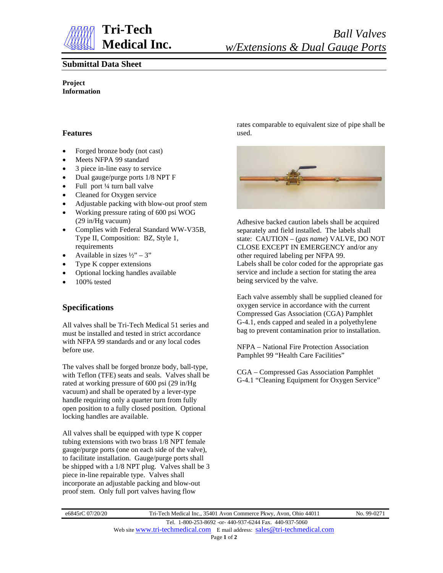

### **Submittal Data Sheet**

**Project Information**

#### **Features**

- Forged bronze body (not cast)
- Meets NFPA 99 standard
- 3 piece in-line easy to service
- Dual gauge/purge ports 1/8 NPT F
- Full port ¼ turn ball valve
- Cleaned for Oxygen service
- Adjustable packing with blow-out proof stem
- Working pressure rating of 600 psi WOG (29 in/Hg vacuum)
- Complies with Federal Standard WW-V35B, Type II, Composition: BZ, Style 1, requirements
- Available in sizes  $\frac{1}{2}$  3"
- Type K copper extensions
- Optional locking handles available
- 100% tested

# **Specifications**

All valves shall be Tri-Tech Medical 51 series and must be installed and tested in strict accordance with NFPA 99 standards and or any local codes before use.

The valves shall be forged bronze body, ball-type, with Teflon (TFE) seats and seals. Valves shall be rated at working pressure of 600 psi (29 in/Hg vacuum) and shall be operated by a lever-type handle requiring only a quarter turn from fully open position to a fully closed position. Optional locking handles are available.

All valves shall be equipped with type K copper tubing extensions with two brass 1/8 NPT female gauge/purge ports (one on each side of the valve), to facilitate installation. Gauge/purge ports shall be shipped with a 1/8 NPT plug. Valves shall be 3 piece in-line repairable type. Valves shall incorporate an adjustable packing and blow-out proof stem. Only full port valves having flow

rates comparable to equivalent size of pipe shall be used.



Adhesive backed caution labels shall be acquired separately and field installed. The labels shall state: CAUTION – (*gas name*) VALVE, DO NOT CLOSE EXCEPT IN EMERGENCY and/or any other required labeling per NFPA 99. Labels shall be color coded for the appropriate gas service and include a section for stating the area being serviced by the valve.

Each valve assembly shall be supplied cleaned for oxygen service in accordance with the current Compressed Gas Association (CGA) Pamphlet G-4.1, ends capped and sealed in a polyethylene bag to prevent contamination prior to installation.

NFPA – National Fire Protection Association Pamphlet 99 "Health Care Facilities"

CGA – Compressed Gas Association Pamphlet G-4.1 "Cleaning Equipment for Oxygen Service"

e6845rC 07/20/20 Tri-Tech Medical Inc., 35401 Avon Commerce Pkwy, Avon, Ohio 44011 No. 99-0271 Tel. 1-800-253-8692 -or- 440-937-6244 Fax. 440-937-5060